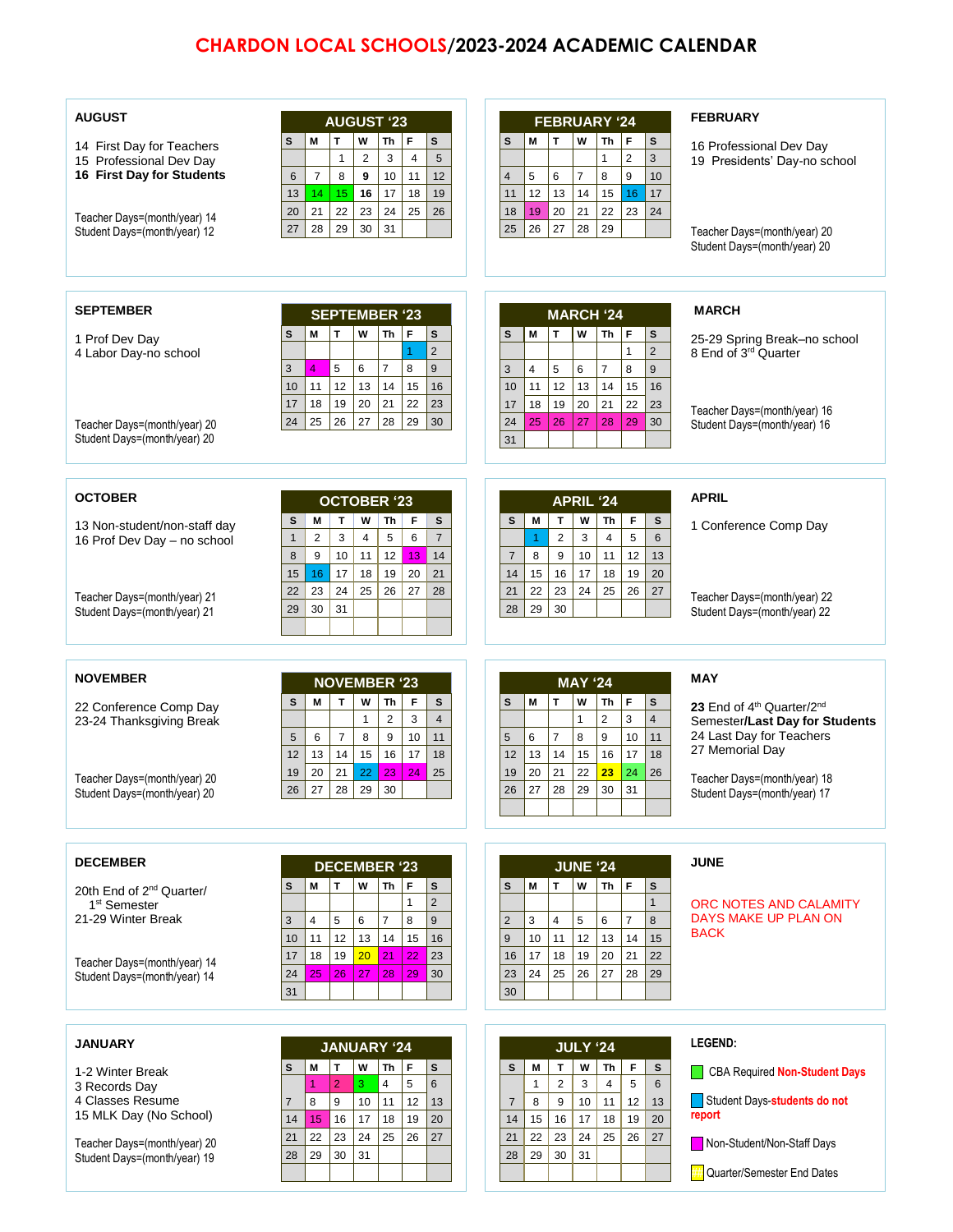## **CHARDON LOCAL SCHOOLS/2023-2024 ACADEMIC CALENDAR**

| <b>AUGUST</b><br>14 First Day for Teachers<br>15 Professional Dev Day<br>16 First Day for Students<br>Teacher Days=(month/year) 14<br>Student Days=(month/year) 12 | <b>AUGUST '23</b><br>M<br>T<br>W<br>F<br>$\mathbf{s}$<br>Th<br>s<br>$\sqrt{2}$<br>3<br>$\overline{4}$<br>5<br>$\mathbf{1}$<br>$\overline{7}$<br>11<br>8<br>10<br>12<br>$\boldsymbol{9}$<br>6<br>17<br>18<br>14<br>15<br>16<br>19<br>13<br>20<br>21<br>22<br>23<br>24<br>25<br>26<br>28<br>29<br>31<br>30<br>27 | <b>FEBRUARY '24</b><br>M<br>T<br>W<br>Th<br>F<br>s<br>s<br>$\overline{2}$<br>3<br>$\mathbf{1}$<br>9<br>5<br>6<br>$\overline{7}$<br>8<br>10<br>$\overline{4}$<br>12<br>13<br>14<br>15<br>16<br>17<br>11<br>19<br>20<br>21<br>22<br>23<br>24<br>18<br>26<br>27<br>29<br>25<br>28 | <b>FEBRUARY</b><br>16 Professional Dev Day<br>19 Presidents' Day-no school<br>Teacher Days=(month/year) 20<br>Student Days=(month/year) 20 |
|--------------------------------------------------------------------------------------------------------------------------------------------------------------------|----------------------------------------------------------------------------------------------------------------------------------------------------------------------------------------------------------------------------------------------------------------------------------------------------------------|--------------------------------------------------------------------------------------------------------------------------------------------------------------------------------------------------------------------------------------------------------------------------------|--------------------------------------------------------------------------------------------------------------------------------------------|
| <b>SEPTEMBER</b><br>1 Prof Dev Day                                                                                                                                 | <b>SEPTEMBER '23</b><br>T<br>W<br>Th<br>F<br>$\mathbf{s}$<br>s<br>М                                                                                                                                                                                                                                            | <b>MARCH '24</b><br>M<br>T<br>W<br>Th<br>l F<br>S<br>s                                                                                                                                                                                                                         | <b>MARCH</b><br>25-29 Spring Break-no school                                                                                               |
| 4 Labor Day-no school<br>Teacher Days=(month/year) 20                                                                                                              | $\overline{2}$<br>1<br>5<br>6<br>$\overline{7}$<br>4<br>8<br>9<br>3<br>12<br>10<br>11<br>13<br>14<br>15<br>16<br>19<br>18<br>20<br>22<br>23<br>21<br>17<br>24<br>25<br>26<br>27<br>28<br>29<br>30                                                                                                              | $\overline{2}$<br>$\mathbf{1}$<br>8<br>4<br>5<br>$\overline{7}$<br>9<br>3<br>6<br>11<br>12<br>14<br>10<br>13<br>15<br>16<br>18<br>19<br>20<br>21<br>22<br>17<br>23<br>25<br>29<br>26<br>27<br>28<br>24<br>30                                                                   | 8 End of 3rd Quarter<br>Teacher Days=(month/year) 16<br>Student Days=(month/year) 16                                                       |
| Student Days=(month/year) 20                                                                                                                                       |                                                                                                                                                                                                                                                                                                                | 31                                                                                                                                                                                                                                                                             |                                                                                                                                            |
| <b>OCTOBER</b><br>13 Non-student/non-staff day<br>16 Prof Dev Day - no school                                                                                      | <b>OCTOBER '23</b><br>T<br>W<br>F<br>s<br>s<br>M<br>Th<br>2<br>3<br>$\overline{4}$<br>5<br>6<br>$\overline{7}$<br>$\mathbf{1}$<br>8<br>$\boldsymbol{9}$<br>10<br>12<br>11<br>13<br>14<br>16<br>21<br>15<br>17<br>18<br>19<br>20                                                                                | <b>APRIL '24</b><br>W<br>F<br>S<br>M<br>T<br>Th<br>$\mathbf s$<br>5<br>$\overline{2}$<br>$\overline{4}$<br>3<br>6<br>$\overline{1}$<br>12<br>$\overline{7}$<br>9<br>11<br>8<br>10<br>13<br>15<br>17<br>19<br>20<br>14<br>16<br>18                                              | <b>APRIL</b><br>1 Conference Comp Day                                                                                                      |
| Teacher Days=(month/year) 21<br>Student Days=(month/year) 21                                                                                                       | 23<br>24<br>25<br>26<br>27<br>22<br>28<br>30<br>31<br>29                                                                                                                                                                                                                                                       | 22<br>21<br>23<br>24<br>25<br>26<br>27<br>29<br>30<br>28                                                                                                                                                                                                                       | Teacher Days=(month/year) 22<br>Student Days=(month/year) 22                                                                               |
| <b>NOVEMBER</b>                                                                                                                                                    | <b>NOVEMBER '23</b>                                                                                                                                                                                                                                                                                            | <b>MAY '24</b>                                                                                                                                                                                                                                                                 | <b>MAY</b>                                                                                                                                 |
| 22 Conference Comp Day<br>23-24 Thanksgiving Break                                                                                                                 | M<br>T.<br>W<br>F<br>s<br>s<br>Th<br>$\overline{2}$<br>3<br>$\mathbf{1}$<br>$\overline{4}$<br>$\overline{7}$<br>8<br>9<br>10<br>11<br>5<br>6<br>13<br>14<br>15<br>16<br>17<br>12<br>18<br>20<br>21<br>19<br>22<br>23<br>24<br>25                                                                               | T<br>F<br>$\mathbf{s}$<br>M<br>W<br>Th<br>S<br>3<br>$\overline{2}$<br>$\overline{4}$<br>$\mathbf{1}$<br>$\overline{7}$<br>9<br>10<br>11<br>6<br>8<br>5<br>17<br>13<br>14<br>15<br>16<br>18<br>12<br>20<br>21<br>22<br>23<br>19<br>24<br>26                                     | 23 End of 4th Quarter/2nd<br>Semester/Last Day for Students<br>24 Last Day for Teachers<br>27 Memorial Day                                 |
| Teacher Days=(month/year) 20<br>Student Days=(month/year) 20                                                                                                       | $26$   27   28   29   30                                                                                                                                                                                                                                                                                       | 26<br>  27  <br>$28 \mid 29 \mid 30$<br>31                                                                                                                                                                                                                                     | Teacher Days=(month/year) 18<br>Student Days=(month/year) 17                                                                               |
| <b>DECEMBER</b>                                                                                                                                                    | <b>DECEMBER '23</b>                                                                                                                                                                                                                                                                                            | <b>JUNE '24</b>                                                                                                                                                                                                                                                                | <b>JUNE</b>                                                                                                                                |
| 20th End of 2 <sup>nd</sup> Quarter/<br>1 <sup>st</sup> Semester<br>21-29 Winter Break                                                                             | $\mathbf T$<br>Th<br>F<br>M<br>W<br>$\mathbf s$<br>s<br>$\overline{2}$<br>$\mathbf{1}$<br>5<br>6<br>7<br>8<br>9<br>$\overline{4}$<br>3<br>12<br>11<br>13<br>14<br>16<br>10<br>15                                                                                                                               | F<br>M<br>T<br>W<br>Th<br>s<br>s<br>$\mathbf{1}$<br>$\overline{4}$<br>5<br>6<br>$\overline{7}$<br>$\overline{2}$<br>3<br>8<br>11<br>9<br>10<br>12<br>13<br>14<br>15                                                                                                            | ORC NOTES AND CALAMITY<br>DAYS MAKE UP PLAN ON<br><b>BACK</b>                                                                              |
| Teacher Days=(month/year) 14<br>Student Days=(month/year) 14                                                                                                       | 18<br>19<br>20<br>21<br>22<br>23<br>17<br>27<br>24<br>25<br>26<br>28<br>30<br>29<br>31                                                                                                                                                                                                                         | 17<br>20<br>18<br>19<br>21<br>22<br>16<br>24<br>25<br>26<br>28<br>23<br>27<br>29<br>30                                                                                                                                                                                         |                                                                                                                                            |
| <b>JANUARY</b>                                                                                                                                                     | <b>JANUARY '24</b>                                                                                                                                                                                                                                                                                             | <b>JULY '24</b>                                                                                                                                                                                                                                                                | <b>LEGEND:</b>                                                                                                                             |
| 1-2 Winter Break<br>3 Records Day                                                                                                                                  | $\mathbf T$<br>M<br>w<br>Th<br>  F<br>$\mathbf s$<br>s<br>$\overline{2}$<br>$\overline{4}$<br>$\,6\,$<br>$\sqrt{5}$<br>1<br>3.                                                                                                                                                                                 | T<br>W<br>F<br>S<br>M<br>Th<br>s<br>$\overline{2}$<br>$\overline{4}$<br>5<br>6<br>$\mathbf{1}$<br>3                                                                                                                                                                            | <b>CBA Required Non-Student Days</b><br>$\Box$ Chidant Doing Abid.                                                                         |

4 Classes Resume 15 MLK Day (No School)

Teacher Days=(month/year) 20 Student Days=(month/year) 19

| <b>JANUARY '24</b> |    |                |    |    |    |    |  |  |
|--------------------|----|----------------|----|----|----|----|--|--|
| $\mathbf{s}$       | М  | т              | W  | Th | F  | S  |  |  |
|                    |    | $\overline{2}$ | 3  | 4  | 5  | 6  |  |  |
| $\overline{7}$     | 8  | 9              | 10 | 11 | 12 | 13 |  |  |
| 14                 | 15 | 16             | 17 | 18 | 19 | 20 |  |  |
| 21                 | 22 | 23             | 24 | 25 | 26 | 27 |  |  |
| 28                 | 29 | 30             | 31 |    |    |    |  |  |
|                    |    |                |    |    |    |    |  |  |

| <b>JULY '24</b> |    |                |    |    |    |    |  |  |  |
|-----------------|----|----------------|----|----|----|----|--|--|--|
| s               | M  | T              | W  | Th | F  | S  |  |  |  |
|                 | 1  | $\overline{2}$ | 3  | 4  | 5  | 6  |  |  |  |
| $\overline{7}$  | 8  | 9              | 10 | 11 | 12 | 13 |  |  |  |
| 14              | 15 | 16             | 17 | 18 | 19 | 20 |  |  |  |
| 21              | 22 | 23             | 24 | 25 | 26 | 27 |  |  |  |
| 28              | 29 | 30             | 31 |    |    |    |  |  |  |
|                 |    |                |    |    |    |    |  |  |  |
|                 |    |                |    |    |    |    |  |  |  |

 Student Days-**students do not report**

Non-Student/Non-Staff Days

**##** Quarter/Semester End Dates